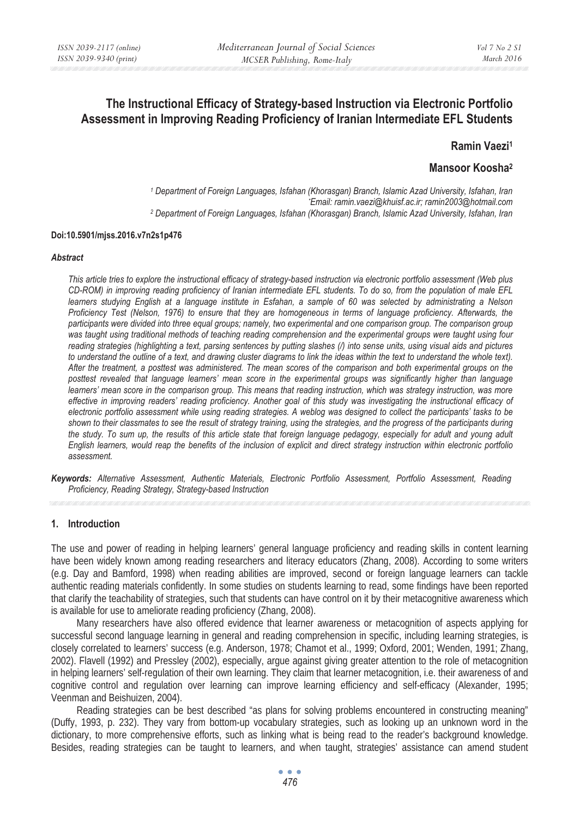# **The Instructional Efficacy of Strategy-based Instruction via Electronic Portfolio Assessment in Improving Reading Proficiency of Iranian Intermediate EFL Students**

**Ramin Vaezi1**

# **Mansoor Koosha2**

*1 Department of Foreign Languages, Isfahan (Khorasgan) Branch, Islamic Azad University, Isfahan, Iran \* Email: ramin.vaezi@khuisf.ac.ir; ramin2003@hotmail.com 2 Department of Foreign Languages, Isfahan (Khorasgan) Branch, Islamic Azad University, Isfahan, Iran* 

#### **Doi:10.5901/mjss.2016.v7n2s1p476**

#### *Abstract*

*This article tries to explore the instructional efficacy of strategy-based instruction via electronic portfolio assessment (Web plus CD-ROM) in improving reading proficiency of Iranian intermediate EFL students. To do so, from the population of male EFL*  learners studying English at a language institute in Esfahan, a sample of 60 was selected by administrating a Nelson *Proficiency Test (Nelson, 1976) to ensure that they are homogeneous in terms of language proficiency. Afterwards, the*  participants were divided into three equal groups; namely, two experimental and one comparison group. The comparison group *was taught using traditional methods of teaching reading comprehension and the experimental groups were taught using four reading strategies (highlighting a text, parsing sentences by putting slashes (/) into sense units, using visual aids and pictures to understand the outline of a text, and drawing cluster diagrams to link the ideas within the text to understand the whole text). After the treatment, a posttest was administered. The mean scores of the comparison and both experimental groups on the posttest revealed that language learners' mean score in the experimental groups was significantly higher than language learners' mean score in the comparison group. This means that reading instruction, which was strategy instruction, was more effective in improving readers' reading proficiency. Another goal of this study was investigating the instructional efficacy of electronic portfolio assessment while using reading strategies. A weblog was designed to collect the participants' tasks to be shown to their classmates to see the result of strategy training, using the strategies, and the progress of the participants during*  the study. To sum up, the results of this article state that foreign language pedagogy, especially for adult and young adult *English learners, would reap the benefits of the inclusion of explicit and direct strategy instruction within electronic portfolio assessment.* 

*Keywords: Alternative Assessment, Authentic Materials, Electronic Portfolio Assessment, Portfolio Assessment, Reading Proficiency, Reading Strategy, Strategy-based Instruction* 

### **1. Introduction**

The use and power of reading in helping learners' general language proficiency and reading skills in content learning have been widely known among reading researchers and literacy educators (Zhang, 2008). According to some writers (e.g. Day and Bamford, 1998) when reading abilities are improved, second or foreign language learners can tackle authentic reading materials confidently. In some studies on students learning to read, some findings have been reported that clarify the teachability of strategies, such that students can have control on it by their metacognitive awareness which is available for use to ameliorate reading proficiency (Zhang, 2008).

Many researchers have also offered evidence that learner awareness or metacognition of aspects applying for successful second language learning in general and reading comprehension in specific, including learning strategies, is closely correlated to learners' success (e.g. Anderson, 1978; Chamot et al., 1999; Oxford, 2001; Wenden, 1991; Zhang, 2002). Flavell (1992) and Pressley (2002), especially, argue against giving greater attention to the role of metacognition in helping learners' self-regulation of their own learning. They claim that learner metacognition, i.e. their awareness of and cognitive control and regulation over learning can improve learning efficiency and self-efficacy (Alexander, 1995; Veenman and Beishuizen, 2004).

Reading strategies can be best described "as plans for solving problems encountered in constructing meaning" (Duffy, 1993, p. 232). They vary from bottom-up vocabulary strategies, such as looking up an unknown word in the dictionary, to more comprehensive efforts, such as linking what is being read to the reader's background knowledge. Besides, reading strategies can be taught to learners, and when taught, strategies' assistance can amend student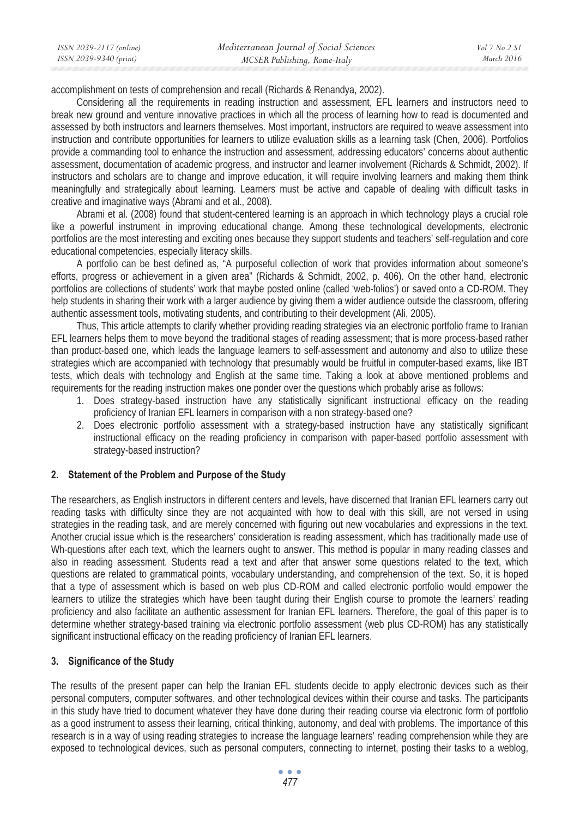*March 2016* 

accomplishment on tests of comprehension and recall (Richards & Renandya, 2002).

Considering all the requirements in reading instruction and assessment, EFL learners and instructors need to break new ground and venture innovative practices in which all the process of learning how to read is documented and assessed by both instructors and learners themselves. Most important, instructors are required to weave assessment into instruction and contribute opportunities for learners to utilize evaluation skills as a learning task (Chen, 2006). Portfolios provide a commanding tool to enhance the instruction and assessment, addressing educators' concerns about authentic assessment, documentation of academic progress, and instructor and learner involvement (Richards & Schmidt, 2002). If instructors and scholars are to change and improve education, it will require involving learners and making them think meaningfully and strategically about learning. Learners must be active and capable of dealing with difficult tasks in creative and imaginative ways (Abrami and et al., 2008).

Abrami et al. (2008) found that student-centered learning is an approach in which technology plays a crucial role like a powerful instrument in improving educational change. Among these technological developments, electronic portfolios are the most interesting and exciting ones because they support students and teachers' self-regulation and core educational competencies, especially literacy skills.

A portfolio can be best defined as, "A purposeful collection of work that provides information about someone's efforts, progress or achievement in a given area" (Richards & Schmidt, 2002, p. 406). On the other hand, electronic portfolios are collections of students' work that maybe posted online (called 'web-folios') or saved onto a CD-ROM. They help students in sharing their work with a larger audience by giving them a wider audience outside the classroom, offering authentic assessment tools, motivating students, and contributing to their development (Ali, 2005).

Thus, This article attempts to clarify whether providing reading strategies via an electronic portfolio frame to Iranian EFL learners helps them to move beyond the traditional stages of reading assessment; that is more process-based rather than product-based one, which leads the language learners to self-assessment and autonomy and also to utilize these strategies which are accompanied with technology that presumably would be fruitful in computer-based exams, like IBT tests, which deals with technology and English at the same time. Taking a look at above mentioned problems and requirements for the reading instruction makes one ponder over the questions which probably arise as follows:

- 1. Does strategy-based instruction have any statistically significant instructional efficacy on the reading proficiency of Iranian EFL learners in comparison with a non strategy-based one?
- 2. Does electronic portfolio assessment with a strategy-based instruction have any statistically significant instructional efficacy on the reading proficiency in comparison with paper-based portfolio assessment with strategy-based instruction?

# **2. Statement of the Problem and Purpose of the Study**

The researchers, as English instructors in different centers and levels, have discerned that Iranian EFL learners carry out reading tasks with difficulty since they are not acquainted with how to deal with this skill, are not versed in using strategies in the reading task, and are merely concerned with figuring out new vocabularies and expressions in the text. Another crucial issue which is the researchers' consideration is reading assessment, which has traditionally made use of Wh-questions after each text, which the learners ought to answer. This method is popular in many reading classes and also in reading assessment. Students read a text and after that answer some questions related to the text, which questions are related to grammatical points, vocabulary understanding, and comprehension of the text. So, it is hoped that a type of assessment which is based on web plus CD-ROM and called electronic portfolio would empower the learners to utilize the strategies which have been taught during their English course to promote the learners' reading proficiency and also facilitate an authentic assessment for Iranian EFL learners. Therefore, the goal of this paper is to determine whether strategy-based training via electronic portfolio assessment (web plus CD-ROM) has any statistically significant instructional efficacy on the reading proficiency of Iranian EFL learners.

# **3. Significance of the Study**

The results of the present paper can help the Iranian EFL students decide to apply electronic devices such as their personal computers, computer softwares, and other technological devices within their course and tasks. The participants in this study have tried to document whatever they have done during their reading course via electronic form of portfolio as a good instrument to assess their learning, critical thinking, autonomy, and deal with problems. The importance of this research is in a way of using reading strategies to increase the language learners' reading comprehension while they are exposed to technological devices, such as personal computers, connecting to internet, posting their tasks to a weblog,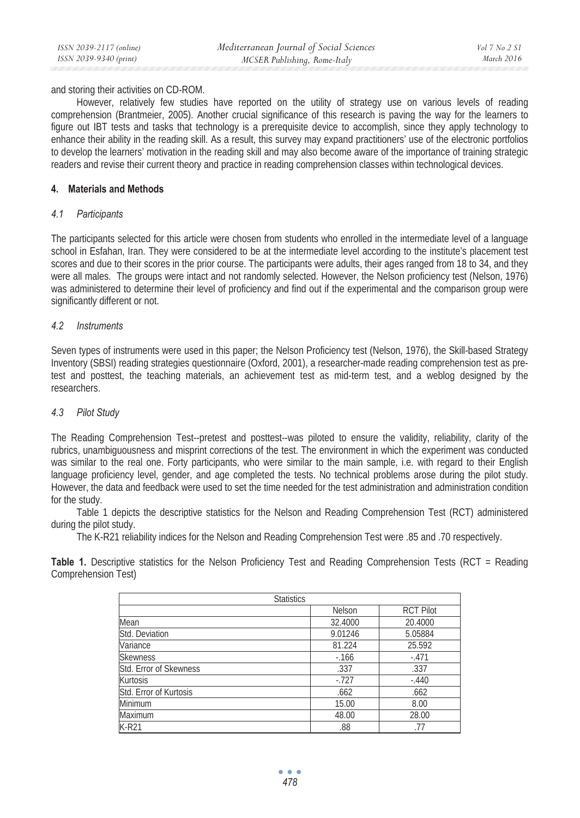and storing their activities on CD-ROM.

However, relatively few studies have reported on the utility of strategy use on various levels of reading comprehension (Brantmeier, 2005). Another crucial significance of this research is paving the way for the learners to figure out IBT tests and tasks that technology is a prerequisite device to accomplish, since they apply technology to enhance their ability in the reading skill. As a result, this survey may expand practitioners' use of the electronic portfolios to develop the learners' motivation in the reading skill and may also become aware of the importance of training strategic readers and revise their current theory and practice in reading comprehension classes within technological devices.

# **4. Materials and Methods**

# *4.1 Participants*

The participants selected for this article were chosen from students who enrolled in the intermediate level of a language school in Esfahan, Iran. They were considered to be at the intermediate level according to the institute's placement test scores and due to their scores in the prior course. The participants were adults, their ages ranged from 18 to 34, and they were all males. The groups were intact and not randomly selected. However, the Nelson proficiency test (Nelson, 1976) was administered to determine their level of proficiency and find out if the experimental and the comparison group were significantly different or not.

# *4.2 Instruments*

Seven types of instruments were used in this paper; the Nelson Proficiency test (Nelson, 1976), the Skill-based Strategy Inventory (SBSI) reading strategies questionnaire (Oxford, 2001), a researcher-made reading comprehension test as pretest and posttest, the teaching materials, an achievement test as mid-term test, and a weblog designed by the researchers.

# *4.3 Pilot Study*

The Reading Comprehension Test--pretest and posttest--was piloted to ensure the validity, reliability, clarity of the rubrics, unambiguousness and misprint corrections of the test. The environment in which the experiment was conducted was similar to the real one. Forty participants, who were similar to the main sample, i.e. with regard to their English language proficiency level, gender, and age completed the tests. No technical problems arose during the pilot study. However, the data and feedback were used to set the time needed for the test administration and administration condition for the study.

Table 1 depicts the descriptive statistics for the Nelson and Reading Comprehension Test (RCT) administered during the pilot study.

The K-R21 reliability indices for the Nelson and Reading Comprehension Test were .85 and .70 respectively.

**Table 1.** Descriptive statistics for the Nelson Proficiency Test and Reading Comprehension Tests (RCT = Reading Comprehension Test)

| <b>Statistics</b>      |         |                  |  |  |  |  |  |  |
|------------------------|---------|------------------|--|--|--|--|--|--|
|                        | Nelson  | <b>RCT Pilot</b> |  |  |  |  |  |  |
| Mean                   | 32.4000 | 20.4000          |  |  |  |  |  |  |
| Std. Deviation         | 9.01246 | 5.05884          |  |  |  |  |  |  |
| Variance               | 81.224  | 25.592           |  |  |  |  |  |  |
| <b>Skewness</b>        | $-166$  | $-.471$          |  |  |  |  |  |  |
| Std. Error of Skewness | .337    | .337             |  |  |  |  |  |  |
| Kurtosis               | $-727$  | $-.440$          |  |  |  |  |  |  |
| Std. Error of Kurtosis | .662    | .662             |  |  |  |  |  |  |
| Minimum                | 15.00   | 8.00             |  |  |  |  |  |  |
| Maximum                | 48.00   | 28.00            |  |  |  |  |  |  |
| K-R21                  | .88     | .77              |  |  |  |  |  |  |

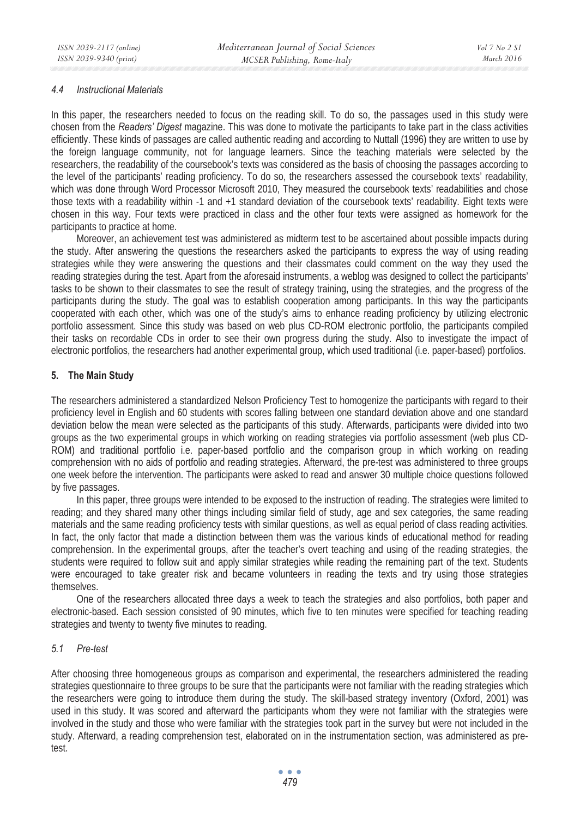### *4.4 Instructional Materials*

In this paper, the researchers needed to focus on the reading skill. To do so, the passages used in this study were chosen from the *Readers' Digest* magazine. This was done to motivate the participants to take part in the class activities efficiently. These kinds of passages are called authentic reading and according to Nuttall (1996) they are written to use by the foreign language community, not for language learners. Since the teaching materials were selected by the researchers, the readability of the coursebook's texts was considered as the basis of choosing the passages according to the level of the participants' reading proficiency. To do so, the researchers assessed the coursebook texts' readability, which was done through Word Processor Microsoft 2010, They measured the coursebook texts' readabilities and chose those texts with a readability within -1 and +1 standard deviation of the coursebook texts' readability. Eight texts were chosen in this way. Four texts were practiced in class and the other four texts were assigned as homework for the participants to practice at home.

Moreover, an achievement test was administered as midterm test to be ascertained about possible impacts during the study. After answering the questions the researchers asked the participants to express the way of using reading strategies while they were answering the questions and their classmates could comment on the way they used the reading strategies during the test. Apart from the aforesaid instruments, a weblog was designed to collect the participants' tasks to be shown to their classmates to see the result of strategy training, using the strategies, and the progress of the participants during the study. The goal was to establish cooperation among participants. In this way the participants cooperated with each other, which was one of the study's aims to enhance reading proficiency by utilizing electronic portfolio assessment. Since this study was based on web plus CD-ROM electronic portfolio, the participants compiled their tasks on recordable CDs in order to see their own progress during the study. Also to investigate the impact of electronic portfolios, the researchers had another experimental group, which used traditional (i.e. paper-based) portfolios.

# **5. The Main Study**

The researchers administered a standardized Nelson Proficiency Test to homogenize the participants with regard to their proficiency level in English and 60 students with scores falling between one standard deviation above and one standard deviation below the mean were selected as the participants of this study. Afterwards, participants were divided into two groups as the two experimental groups in which working on reading strategies via portfolio assessment (web plus CD-ROM) and traditional portfolio i.e. paper-based portfolio and the comparison group in which working on reading comprehension with no aids of portfolio and reading strategies. Afterward, the pre-test was administered to three groups one week before the intervention. The participants were asked to read and answer 30 multiple choice questions followed by five passages.

In this paper, three groups were intended to be exposed to the instruction of reading. The strategies were limited to reading; and they shared many other things including similar field of study, age and sex categories, the same reading materials and the same reading proficiency tests with similar questions, as well as equal period of class reading activities. In fact, the only factor that made a distinction between them was the various kinds of educational method for reading comprehension. In the experimental groups, after the teacher's overt teaching and using of the reading strategies, the students were required to follow suit and apply similar strategies while reading the remaining part of the text. Students were encouraged to take greater risk and became volunteers in reading the texts and try using those strategies themselves.

One of the researchers allocated three days a week to teach the strategies and also portfolios, both paper and electronic-based. Each session consisted of 90 minutes, which five to ten minutes were specified for teaching reading strategies and twenty to twenty five minutes to reading.

### *5.1 Pre-test*

After choosing three homogeneous groups as comparison and experimental, the researchers administered the reading strategies questionnaire to three groups to be sure that the participants were not familiar with the reading strategies which the researchers were going to introduce them during the study. The skill-based strategy inventory (Oxford, 2001) was used in this study. It was scored and afterward the participants whom they were not familiar with the strategies were involved in the study and those who were familiar with the strategies took part in the survey but were not included in the study. Afterward, a reading comprehension test, elaborated on in the instrumentation section, was administered as pretest.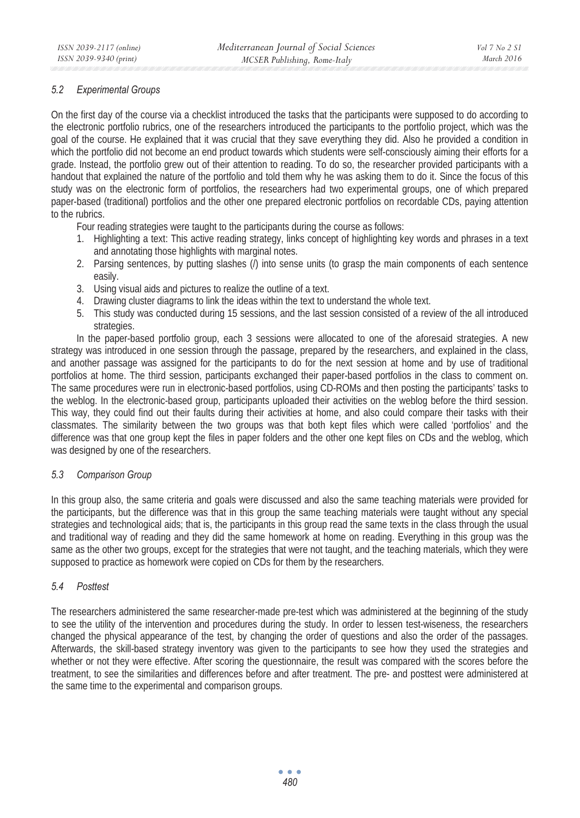# *5.2 Experimental Groups*

On the first day of the course via a checklist introduced the tasks that the participants were supposed to do according to the electronic portfolio rubrics, one of the researchers introduced the participants to the portfolio project, which was the goal of the course. He explained that it was crucial that they save everything they did. Also he provided a condition in which the portfolio did not become an end product towards which students were self-consciously aiming their efforts for a grade. Instead, the portfolio grew out of their attention to reading. To do so, the researcher provided participants with a handout that explained the nature of the portfolio and told them why he was asking them to do it. Since the focus of this study was on the electronic form of portfolios, the researchers had two experimental groups, one of which prepared paper-based (traditional) portfolios and the other one prepared electronic portfolios on recordable CDs, paying attention to the rubrics.

Four reading strategies were taught to the participants during the course as follows:

- 1. Highlighting a text: This active reading strategy, links concept of highlighting key words and phrases in a text and annotating those highlights with marginal notes.
- 2. Parsing sentences, by putting slashes  $(i)$  into sense units (to grasp the main components of each sentence easily.
- 3. Using visual aids and pictures to realize the outline of a text.
- 4. Drawing cluster diagrams to link the ideas within the text to understand the whole text.
- 5. This study was conducted during 15 sessions, and the last session consisted of a review of the all introduced strategies.

In the paper-based portfolio group, each 3 sessions were allocated to one of the aforesaid strategies. A new strategy was introduced in one session through the passage, prepared by the researchers, and explained in the class, and another passage was assigned for the participants to do for the next session at home and by use of traditional portfolios at home. The third session, participants exchanged their paper-based portfolios in the class to comment on. The same procedures were run in electronic-based portfolios, using CD-ROMs and then posting the participants' tasks to the weblog. In the electronic-based group, participants uploaded their activities on the weblog before the third session. This way, they could find out their faults during their activities at home, and also could compare their tasks with their classmates. The similarity between the two groups was that both kept files which were called 'portfolios' and the difference was that one group kept the files in paper folders and the other one kept files on CDs and the weblog, which was designed by one of the researchers.

### *5.3 Comparison Group*

In this group also, the same criteria and goals were discussed and also the same teaching materials were provided for the participants, but the difference was that in this group the same teaching materials were taught without any special strategies and technological aids; that is, the participants in this group read the same texts in the class through the usual and traditional way of reading and they did the same homework at home on reading. Everything in this group was the same as the other two groups, except for the strategies that were not taught, and the teaching materials, which they were supposed to practice as homework were copied on CDs for them by the researchers.

### *5.4 Posttest*

The researchers administered the same researcher-made pre-test which was administered at the beginning of the study to see the utility of the intervention and procedures during the study. In order to lessen test-wiseness, the researchers changed the physical appearance of the test, by changing the order of questions and also the order of the passages. Afterwards, the skill-based strategy inventory was given to the participants to see how they used the strategies and whether or not they were effective. After scoring the questionnaire, the result was compared with the scores before the treatment, to see the similarities and differences before and after treatment. The pre- and posttest were administered at the same time to the experimental and comparison groups.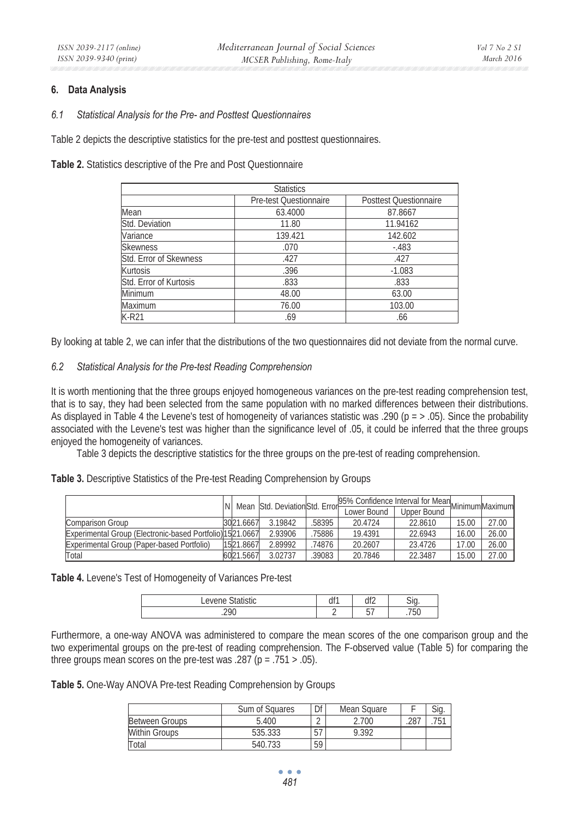### **6. Data Analysis**

#### *6.1 Statistical Analysis for the Pre- and Posttest Questionnaires*

Table 2 depicts the descriptive statistics for the pre-test and posttest questionnaires.

**Table 2.** Statistics descriptive of the Pre and Post Questionnaire

|                        | <b>Statistics</b>      |                               |  |  |  |  |  |  |
|------------------------|------------------------|-------------------------------|--|--|--|--|--|--|
|                        | Pre-test Questionnaire | <b>Posttest Questionnaire</b> |  |  |  |  |  |  |
| Mean                   | 63.4000                | 87.8667                       |  |  |  |  |  |  |
| Std. Deviation         | 11.80                  | 11.94162                      |  |  |  |  |  |  |
| Variance               | 139.421                | 142.602                       |  |  |  |  |  |  |
| <b>Skewness</b>        | .070                   | $-483$                        |  |  |  |  |  |  |
| Std. Error of Skewness | .427                   | .427                          |  |  |  |  |  |  |
| Kurtosis               | .396                   | $-1.083$                      |  |  |  |  |  |  |
| Std. Error of Kurtosis | .833                   | .833                          |  |  |  |  |  |  |
| Minimum                | 48.00                  | 63.00                         |  |  |  |  |  |  |
| Maximum                | 76.00                  | 103.00                        |  |  |  |  |  |  |
| K-R21                  | .69                    | .66                           |  |  |  |  |  |  |

By looking at table 2, we can infer that the distributions of the two questionnaires did not deviate from the normal curve.

#### *6.2 Statistical Analysis for the Pre-test Reading Comprehension*

It is worth mentioning that the three groups enjoyed homogeneous variances on the pre-test reading comprehension test, that is to say, they had been selected from the same population with no marked differences between their distributions. As displayed in Table 4 the Levene's test of homogeneity of variances statistic was .290 ( $p = > .05$ ). Since the probability associated with the Levene's test was higher than the significance level of .05, it could be inferred that the three groups enjoyed the homogeneity of variances.

Table 3 depicts the descriptive statistics for the three groups on the pre-test of reading comprehension.

|  | <b>Table 3.</b> Descriptive Statistics of the Pre-test Reading Comprehension by Groups |  |
|--|----------------------------------------------------------------------------------------|--|
|  |                                                                                        |  |

|                                                           |           | N I Mean Std. DeviationStd. Errori |        | 195% Confidence Interval for Mean Minimum Maximum |             |       |       |
|-----------------------------------------------------------|-----------|------------------------------------|--------|---------------------------------------------------|-------------|-------|-------|
|                                                           |           |                                    |        | Lower Bound                                       | Upper Bound |       |       |
| Comparison Group                                          | 3021.6667 | 3.19842                            | .58395 | 20.4724                                           | 22.8610     | 15.00 | 27.00 |
| Experimental Group (Electronic-based Portfolio) 1521.0667 |           | 2.93906                            | 75886  | 19.4391                                           | 22.6943     | 16.00 | 26.00 |
| Experimental Group (Paper-based Portfolio)                | 1521.8667 | 2.89992                            | 74876  | 20.2607                                           | 23.4726     | 17.00 | 26.00 |
| Total                                                     | 6021.5667 | 3.02737                            | .39083 | 20.7846                                           | 22.3487     | 15.00 | 27.00 |

**Table 4.** Levene's Test of Homogeneity of Variances Pre-test

| $\cdot$ $\cdot$<br>$\cdots$<br>$\sim$ | $\cdots$ | $\mathsf{df}^{\sim}$<br>uı∠ | . .      |
|---------------------------------------|----------|-----------------------------|----------|
| $\epsilon$                            |          | $ -$<br>.,                  | r,<br>5U |

Furthermore, a one-way ANOVA was administered to compare the mean scores of the one comparison group and the two experimental groups on the pre-test of reading comprehension. The F-observed value (Table 5) for comparing the three groups mean scores on the pre-test was .287 ( $p = .751 > .05$ ).

**Table 5.** One-Way ANOVA Pre-test Reading Comprehension by Groups

|                       | Sum of Squares | Df              | Mean Square |     |  |
|-----------------------|----------------|-----------------|-------------|-----|--|
| <b>Between Groups</b> | 5.400          | $\sim$          | 2.700       | 287 |  |
| <b>Within Groups</b>  | 535.333        | <b>F7</b><br>51 | 9.392       |     |  |
| Total                 | 540.733        | 59              |             |     |  |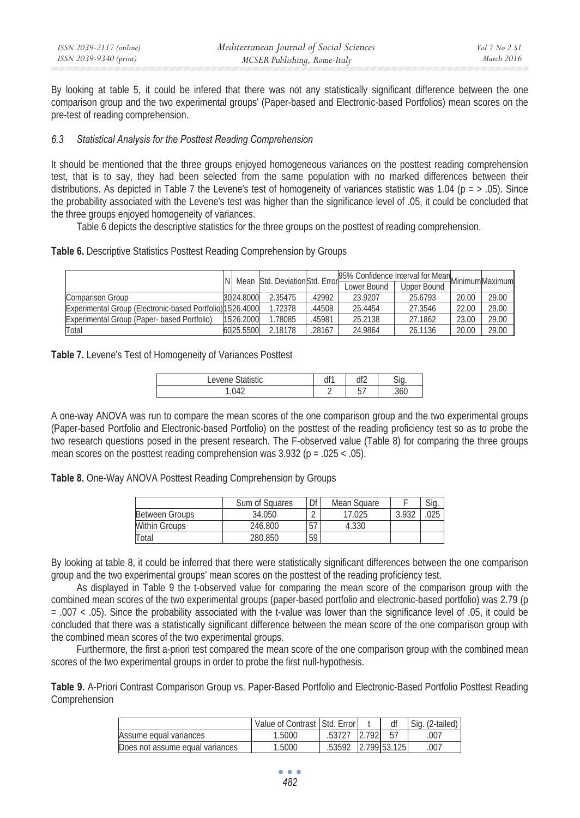| ISSN 2039-2117 (online) | Mediterranean Journal of Social Sciences | Vol 7 No 2 S1     |
|-------------------------|------------------------------------------|-------------------|
| ISSN 2039-9340 (print)  | MCSER Publishing, Rome-Italy             | <i>March 2016</i> |

By looking at table 5, it could be infered that there was not any statistically significant difference between the one comparison group and the two experimental groups' (Paper-based and Electronic-based Portfolios) mean scores on the pre-test of reading comprehension.

# *6.3 Statistical Analysis for the Posttest Reading Comprehension*

It should be mentioned that the three groups enjoyed homogeneous variances on the posttest reading comprehension test, that is to say, they had been selected from the same population with no marked differences between their distributions. As depicted in Table 7 the Levene's test of homogeneity of variances statistic was 1.04 ( $p = > .05$ ). Since the probability associated with the Levene's test was higher than the significance level of .05, it could be concluded that the three groups enjoyed homogeneity of variances.

Table 6 depicts the descriptive statistics for the three groups on the posttest of reading comprehension.

| Table 6. Descriptive Statistics Posttest Reading Comprehension by Groups |  |  |  |
|--------------------------------------------------------------------------|--|--|--|
|                                                                          |  |  |  |

|                                                           |  |           | INI Mean IStd. DeviationStd. Errori |        | 95% Confidence Interval for Mean Minimum Maximum |                    |       |       |
|-----------------------------------------------------------|--|-----------|-------------------------------------|--------|--------------------------------------------------|--------------------|-------|-------|
|                                                           |  |           |                                     |        | Lower Bound                                      | <b>Upper Bound</b> |       |       |
| Comparison Group                                          |  | 3024.8000 | 2.35475                             | .42992 | 23.9207                                          | 25.6793            | 20.00 | 29.00 |
| Experimental Group (Electronic-based Portfolio) 1526.4000 |  |           | 1.72378                             | 44508  | 25.4454                                          | 27.3546            | 22.00 | 29.00 |
| Experimental Group (Paper- based Portfolio)               |  | 1526.2000 | .78085                              | 45981  | 25.2138                                          | 27.1862            | 23.00 | 29.00 |
| Total                                                     |  | 6025.5500 | 2.18178                             | .28167 | 24.9864                                          | 26.1136            | 20.00 | 29.00 |

**Table 7.** Levene's Test of Homogeneity of Variances Posttest

| $\frac{1}{2}$<br>usuu<br>$\check{ }$<br>$\overline{\phantom{a}}$ | AL-4 |             | Ö<br>. . |
|------------------------------------------------------------------|------|-------------|----------|
| $\overline{u}$                                                   | r    | -<br>ь<br>ັ |          |

A one-way ANOVA was run to compare the mean scores of the one comparison group and the two experimental groups (Paper-based Portfolio and Electronic-based Portfolio) on the posttest of the reading proficiency test so as to probe the two research questions posed in the present research. The F-observed value (Table 8) for comparing the three groups mean scores on the posttest reading comprehension was  $3.932$  (p = .025 < .05).

**Table 8.** One-Way ANOVA Posttest Reading Comprehension by Groups

|                       | Sum of Squares | Df     | Mean Square |       | Sia. |
|-----------------------|----------------|--------|-------------|-------|------|
| <b>Between Groups</b> | 34.050         | $\sim$ | 17.025      | 3.932 | 025  |
| <b>Within Groups</b>  | 246.800        | 57     | 4.330       |       |      |
| Total                 | 280.850        | 59     |             |       |      |

By looking at table 8, it could be inferred that there were statistically significant differences between the one comparison group and the two experimental groups' mean scores on the posttest of the reading proficiency test.

As displayed in Table 9 the t-observed value for comparing the mean score of the comparison group with the combined mean scores of the two experimental groups (paper-based portfolio and electronic-based portfolio) was 2.79 (p = .007 < .05). Since the probability associated with the t-value was lower than the significance level of .05, it could be concluded that there was a statistically significant difference between the mean score of the one comparison group with the combined mean scores of the two experimental groups.

Furthermore, the first a-priori test compared the mean score of the one comparison group with the combined mean scores of the two experimental groups in order to probe the first null-hypothesis.

**Table 9.** A-Priori Contrast Comparison Group vs. Paper-Based Portfolio and Electronic-Based Portfolio Posttest Reading Comprehension

|                                 | Value of Contrast   Std. Error |        |       |              | Sig. (2-tailed) |
|---------------------------------|--------------------------------|--------|-------|--------------|-----------------|
| Assume equal variances          | 1.5000                         |        | 2.792 |              | 007             |
| Does not assume equal variances | 1.5000                         | .53592 |       | 2.799 53.125 | 007             |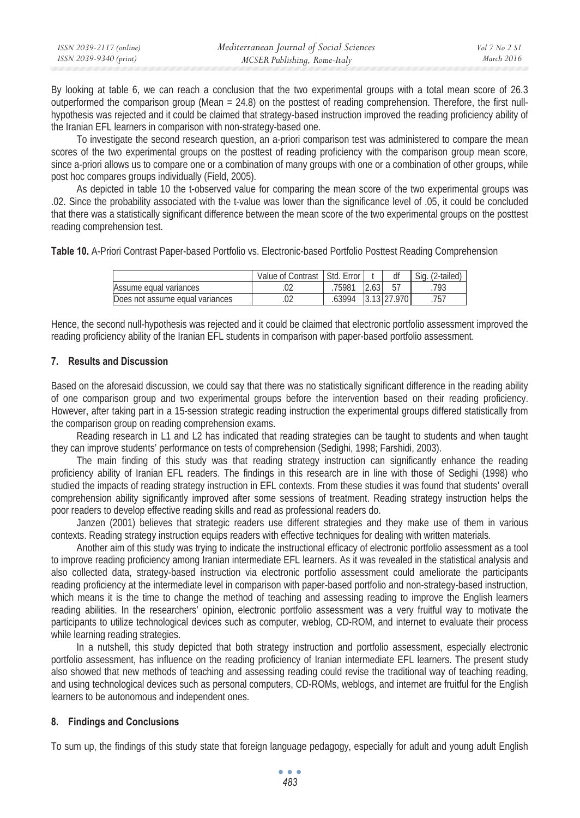| ISSN 2039-2117 (online) | Mediterranean Journal of Social Sciences | Vol 7 No 2 SI |
|-------------------------|------------------------------------------|---------------|
| ISSN 2039-9340 (print)  | MCSER Publishing, Rome-Italy             | March 2016    |

By looking at table 6, we can reach a conclusion that the two experimental groups with a total mean score of 26.3 outperformed the comparison group (Mean = 24.8) on the posttest of reading comprehension. Therefore, the first nullhypothesis was rejected and it could be claimed that strategy-based instruction improved the reading proficiency ability of the Iranian EFL learners in comparison with non-strategy-based one.

To investigate the second research question, an a-priori comparison test was administered to compare the mean scores of the two experimental groups on the posttest of reading proficiency with the comparison group mean score, since a-priori allows us to compare one or a combination of many groups with one or a combination of other groups, while post hoc compares groups individually (Field, 2005).

As depicted in table 10 the t-observed value for comparing the mean score of the two experimental groups was .02. Since the probability associated with the t-value was lower than the significance level of .05, it could be concluded that there was a statistically significant difference between the mean score of the two experimental groups on the posttest reading comprehension test.

**Table 10.** A-Priori Contrast Paper-based Portfolio vs. Electronic-based Portfolio Posttest Reading Comprehension

|                                 | Value of Contrast | Std. Error | df         | Sia<br>(2-tailed) |
|---------------------------------|-------------------|------------|------------|-------------------|
| Assume equal variances          |                   | 75981      |            | 793               |
| Does not assume equal variances |                   | 63994      | .13 27.970 | .757              |

Hence, the second null-hypothesis was rejected and it could be claimed that electronic portfolio assessment improved the reading proficiency ability of the Iranian EFL students in comparison with paper-based portfolio assessment.

# **7. Results and Discussion**

Based on the aforesaid discussion, we could say that there was no statistically significant difference in the reading ability of one comparison group and two experimental groups before the intervention based on their reading proficiency. However, after taking part in a 15-session strategic reading instruction the experimental groups differed statistically from the comparison group on reading comprehension exams.

Reading research in L1 and L2 has indicated that reading strategies can be taught to students and when taught they can improve students' performance on tests of comprehension (Sedighi, 1998; Farshidi, 2003).

The main finding of this study was that reading strategy instruction can significantly enhance the reading proficiency ability of Iranian EFL readers. The findings in this research are in line with those of Sedighi (1998) who studied the impacts of reading strategy instruction in EFL contexts. From these studies it was found that students' overall comprehension ability significantly improved after some sessions of treatment. Reading strategy instruction helps the poor readers to develop effective reading skills and read as professional readers do.

Janzen (2001) believes that strategic readers use different strategies and they make use of them in various contexts. Reading strategy instruction equips readers with effective techniques for dealing with written materials.

Another aim of this study was trying to indicate the instructional efficacy of electronic portfolio assessment as a tool to improve reading proficiency among Iranian intermediate EFL learners. As it was revealed in the statistical analysis and also collected data, strategy-based instruction via electronic portfolio assessment could ameliorate the participants reading proficiency at the intermediate level in comparison with paper-based portfolio and non-strategy-based instruction, which means it is the time to change the method of teaching and assessing reading to improve the English learners reading abilities. In the researchers' opinion, electronic portfolio assessment was a very fruitful way to motivate the participants to utilize technological devices such as computer, weblog, CD-ROM, and internet to evaluate their process while learning reading strategies.

In a nutshell, this study depicted that both strategy instruction and portfolio assessment, especially electronic portfolio assessment, has influence on the reading proficiency of Iranian intermediate EFL learners. The present study also showed that new methods of teaching and assessing reading could revise the traditional way of teaching reading, and using technological devices such as personal computers, CD-ROMs, weblogs, and internet are fruitful for the English learners to be autonomous and independent ones.

### **8. Findings and Conclusions**

To sum up, the findings of this study state that foreign language pedagogy, especially for adult and young adult English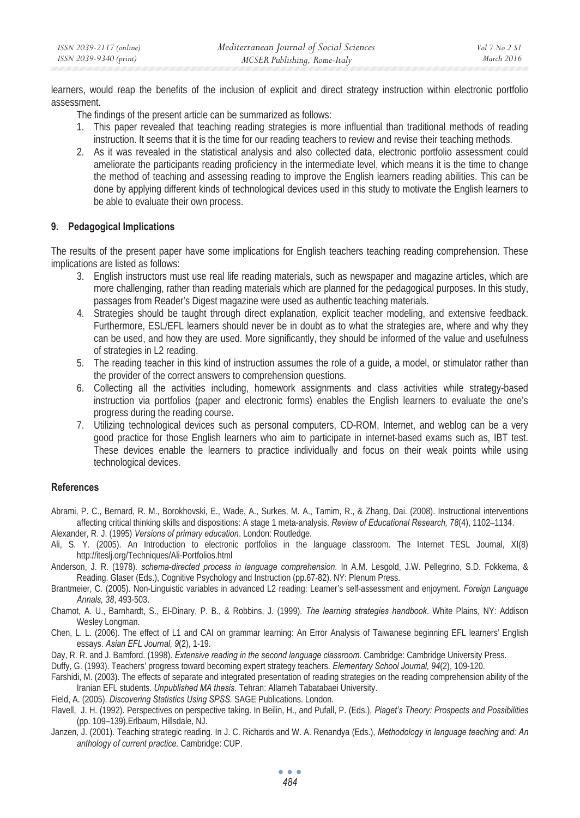learners, would reap the benefits of the inclusion of explicit and direct strategy instruction within electronic portfolio assessment.

- The findings of the present article can be summarized as follows:
- 1. This paper revealed that teaching reading strategies is more influential than traditional methods of reading instruction. It seems that it is the time for our reading teachers to review and revise their teaching methods.
- 2. As it was revealed in the statistical analysis and also collected data, electronic portfolio assessment could ameliorate the participants reading proficiency in the intermediate level, which means it is the time to change the method of teaching and assessing reading to improve the English learners reading abilities. This can be done by applying different kinds of technological devices used in this study to motivate the English learners to be able to evaluate their own process.

# **9. Pedagogical Implications**

The results of the present paper have some implications for English teachers teaching reading comprehension. These implications are listed as follows:

- 3. English instructors must use real life reading materials, such as newspaper and magazine articles, which are more challenging, rather than reading materials which are planned for the pedagogical purposes. In this study, passages from Reader's Digest magazine were used as authentic teaching materials.
- 4. Strategies should be taught through direct explanation, explicit teacher modeling, and extensive feedback. Furthermore, ESL/EFL learners should never be in doubt as to what the strategies are, where and why they can be used, and how they are used. More significantly, they should be informed of the value and usefulness of strategies in L2 reading.
- 5. The reading teacher in this kind of instruction assumes the role of a guide, a model, or stimulator rather than the provider of the correct answers to comprehension questions.
- 6. Collecting all the activities including, homework assignments and class activities while strategy-based instruction via portfolios (paper and electronic forms) enables the English learners to evaluate the one's progress during the reading course.
- 7. Utilizing technological devices such as personal computers, CD-ROM, Internet, and weblog can be a very good practice for those English learners who aim to participate in internet-based exams such as, IBT test. These devices enable the learners to practice individually and focus on their weak points while using technological devices.

# **References**

- Abrami, P. C., Bernard, R. M., Borokhovski, E., Wade, A., Surkes, M. A., Tamim, R., & Zhang, Dai. (2008). Instructional interventions affecting critical thinking skills and dispositions: A stage 1 meta-analysis. *Review of Educational Research, 78*(4), 1102–1134.
- Alexander, R. J. (1995) *Versions of primary education*. London: Routledge.
- Ali, S. Y. (2005). An Introduction to electronic portfolios in the language classroom. The Internet TESL Journal, XI(8) http://iteslj.org/Techniques/Ali-Portfolios.html
- Anderson, J. R. (1978). *schema-directed process in language comprehension.* In A.M. Lesgold, J.W. Pellegrino, S.D. Fokkema, & Reading. Glaser (Eds.), Cognitive Psychology and Instruction (pp.67-82). NY: Plenum Press.
- Brantmeier, C. (2005). Non-Linguistic variables in advanced L2 reading: Learner's self-assessment and enjoyment. *Foreign Language Annals, 38*, 493-503.
- Chamot, A. U., Barnhardt, S., El-Dinary, P. B., & Robbins, J. (1999). *The learning strategies handbook*. White Plains, NY: Addison Wesley Longman.
- Chen, L. L. (2006). The effect of L1 and CAI on grammar learning: An Error Analysis of Taiwanese beginning EFL learners' English essays. *Asian EFL Journal, 9*(2), 1-19.
- Day, R. R. and J. Bamford. (1998). *Extensive reading in the second language classroom.* Cambridge: Cambridge University Press.
- Duffy, G. (1993). Teachers' progress toward becoming expert strategy teachers*. Elementary School Journal, 94*(2), 109-120.
- Farshidi, M. (2003). The effects of separate and integrated presentation of reading strategies on the reading comprehension ability of the Iranian EFL students. *Unpublished MA thesis.* Tehran: Allameh Tabatabaei University.
- Field, A. (2005). *Discovering Statistics Using SPSS.* SAGE Publications. London.
- Flavell, J. H. (1992). Perspectives on perspective taking. In Beilin, H., and Pufall, P. (Eds.), *Piaget's Theory: Prospects and Possibilities*  (pp. 109–139).Erlbaum, Hillsdale, NJ.
- Janzen, J. (2001). Teaching strategic reading. In J. C. Richards and W. A. Renandya (Eds.), *Methodology in language teaching and: An anthology of current practice.* Cambridge: CUP.